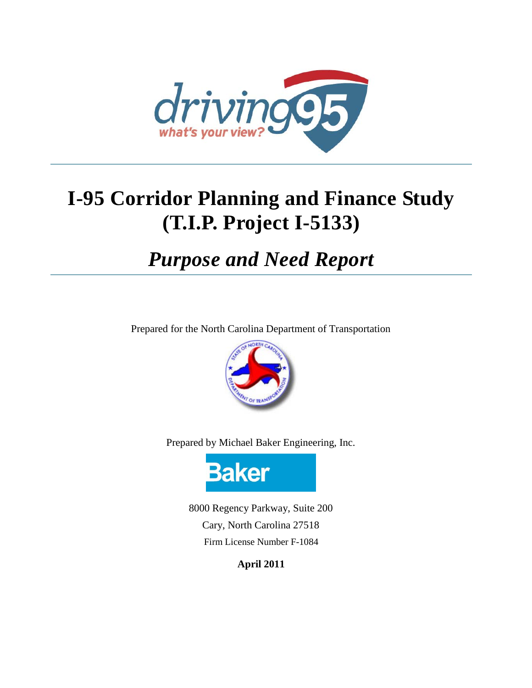

# **I-95 Corridor Planning and Finance Study (T.I.P. Project I-5133)**

# *Purpose and Need Report*

Prepared for the North Carolina Department of Transportation



Prepared by Michael Baker Engineering, Inc.



8000 Regency Parkway, Suite 200 Cary, North Carolina 27518 Firm License Number F-1084

**April 2011**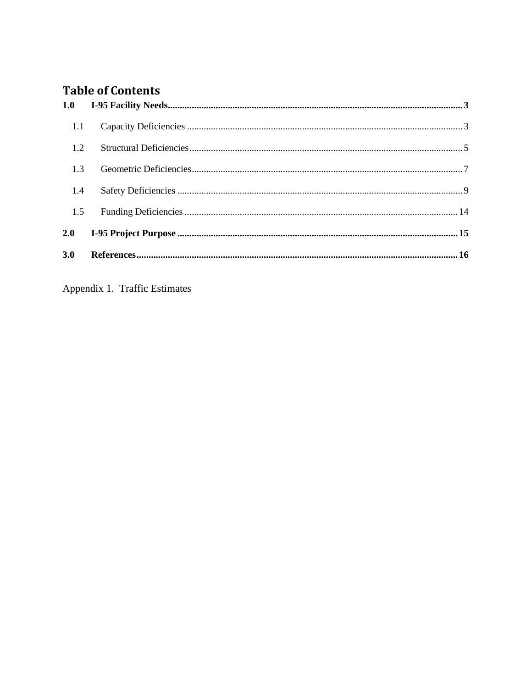# **Table of Contents**

| 1.1 |  |
|-----|--|
| 1.2 |  |
| 1.3 |  |
| 1.4 |  |
| 1.5 |  |
|     |  |
| 3.0 |  |

Appendix 1. Traffic Estimates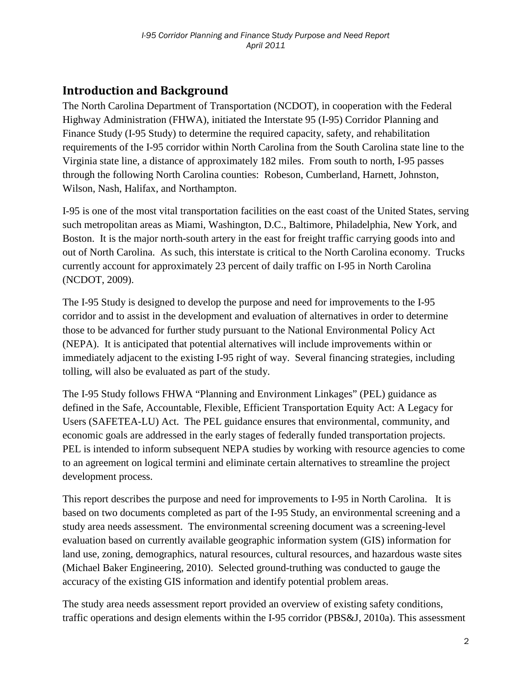## **Introduction and Background**

The North Carolina Department of Transportation (NCDOT), in cooperation with the Federal Highway Administration (FHWA), initiated the Interstate 95 (I-95) Corridor Planning and Finance Study (I-95 Study) to determine the required capacity, safety, and rehabilitation requirements of the I-95 corridor within North Carolina from the South Carolina state line to the Virginia state line, a distance of approximately 182 miles. From south to north, I-95 passes through the following North Carolina counties: Robeson, Cumberland, Harnett, Johnston, Wilson, Nash, Halifax, and Northampton.

I-95 is one of the most vital transportation facilities on the east coast of the United States, serving such metropolitan areas as Miami, Washington, D.C., Baltimore, Philadelphia, New York, and Boston. It is the major north-south artery in the east for freight traffic carrying goods into and out of North Carolina. As such, this interstate is critical to the North Carolina economy. Trucks currently account for approximately 23 percent of daily traffic on I-95 in North Carolina (NCDOT, 2009).

The I-95 Study is designed to develop the purpose and need for improvements to the I-95 corridor and to assist in the development and evaluation of alternatives in order to determine those to be advanced for further study pursuant to the National Environmental Policy Act (NEPA). It is anticipated that potential alternatives will include improvements within or immediately adjacent to the existing I-95 right of way. Several financing strategies, including tolling, will also be evaluated as part of the study.

The I-95 Study follows FHWA "Planning and Environment Linkages" (PEL) guidance as defined in the Safe, Accountable, Flexible, Efficient Transportation Equity Act: A Legacy for Users (SAFETEA-LU) Act. The PEL guidance ensures that environmental, community, and economic goals are addressed in the early stages of federally funded transportation projects. PEL is intended to inform subsequent NEPA studies by working with resource agencies to come to an agreement on logical termini and eliminate certain alternatives to streamline the project development process.

This report describes the purpose and need for improvements to I-95 in North Carolina. It is based on two documents completed as part of the I-95 Study, an environmental screening and a study area needs assessment. The environmental screening document was a screening-level evaluation based on currently available geographic information system (GIS) information for land use, zoning, demographics, natural resources, cultural resources, and hazardous waste sites (Michael Baker Engineering, 2010). Selected ground-truthing was conducted to gauge the accuracy of the existing GIS information and identify potential problem areas.

The study area needs assessment report provided an overview of existing safety conditions, traffic operations and design elements within the I-95 corridor (PBS&J, 2010a). This assessment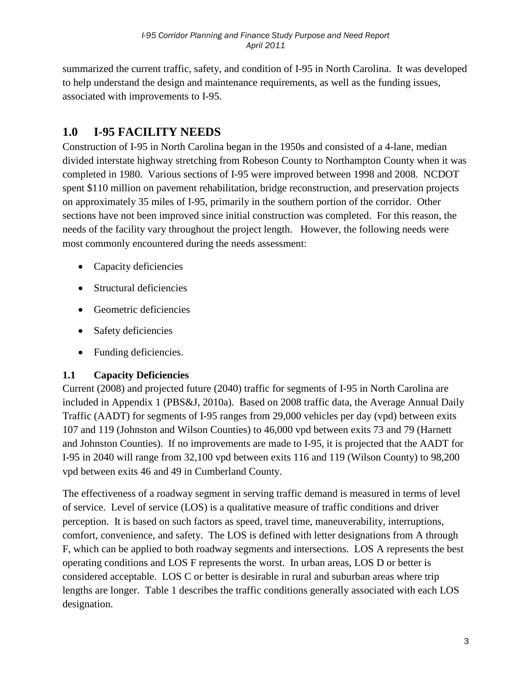summarized the current traffic, safety, and condition of I-95 in North Carolina. It was developed to help understand the design and maintenance requirements, as well as the funding issues, associated with improvements to I-95.

# <span id="page-3-0"></span>**1.0 I-95 FACILITY NEEDS**

Construction of I-95 in North Carolina began in the 1950s and consisted of a 4-lane, median divided interstate highway stretching from Robeson County to Northampton County when it was completed in 1980. Various sections of I-95 were improved between 1998 and 2008. NCDOT spent \$110 million on pavement rehabilitation, bridge reconstruction, and preservation projects on approximately 35 miles of I-95, primarily in the southern portion of the corridor. Other sections have not been improved since initial construction was completed. For this reason, the needs of the facility vary throughout the project length. However, the following needs were most commonly encountered during the needs assessment:

- Capacity deficiencies
- Structural deficiencies
- Geometric deficiencies
- Safety deficiencies
- Funding deficiencies.

## <span id="page-3-1"></span>**1.1 Capacity Deficiencies**

Current (2008) and projected future (2040) traffic for segments of I-95 in North Carolina are included in Appendix 1 (PBS&J, 2010a). Based on 2008 traffic data, the Average Annual Daily Traffic (AADT) for segments of I-95 ranges from 29,000 vehicles per day (vpd) between exits 107 and 119 (Johnston and Wilson Counties) to 46,000 vpd between exits 73 and 79 (Harnett and Johnston Counties). If no improvements are made to I-95, it is projected that the AADT for I-95 in 2040 will range from 32,100 vpd between exits 116 and 119 (Wilson County) to 98,200 vpd between exits 46 and 49 in Cumberland County.

The effectiveness of a roadway segment in serving traffic demand is measured in terms of level of service. Level of service (LOS) is a qualitative measure of traffic conditions and driver perception. It is based on such factors as speed, travel time, maneuverability, interruptions, comfort, convenience, and safety. The LOS is defined with letter designations from A through F, which can be applied to both roadway segments and intersections. LOS A represents the best operating conditions and LOS F represents the worst. In urban areas, LOS D or better is considered acceptable. LOS C or better is desirable in rural and suburban areas where trip lengths are longer. Table 1 describes the traffic conditions generally associated with each LOS designation.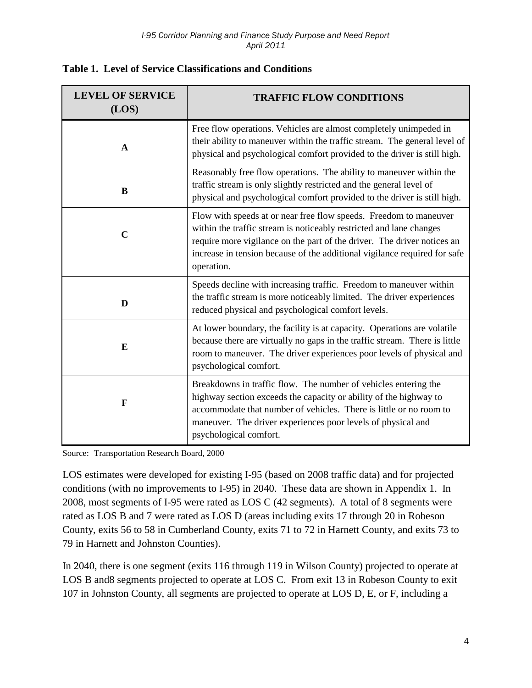| <b>LEVEL OF SERVICE</b><br>(LOS) | <b>TRAFFIC FLOW CONDITIONS</b>                                                                                                                                                                                                                                                                                 |
|----------------------------------|----------------------------------------------------------------------------------------------------------------------------------------------------------------------------------------------------------------------------------------------------------------------------------------------------------------|
| $\mathbf{A}$                     | Free flow operations. Vehicles are almost completely unimpeded in<br>their ability to maneuver within the traffic stream. The general level of<br>physical and psychological comfort provided to the driver is still high.                                                                                     |
| B                                | Reasonably free flow operations. The ability to maneuver within the<br>traffic stream is only slightly restricted and the general level of<br>physical and psychological comfort provided to the driver is still high.                                                                                         |
| $\mathbf C$                      | Flow with speeds at or near free flow speeds. Freedom to maneuver<br>within the traffic stream is noticeably restricted and lane changes<br>require more vigilance on the part of the driver. The driver notices an<br>increase in tension because of the additional vigilance required for safe<br>operation. |
| D                                | Speeds decline with increasing traffic. Freedom to maneuver within<br>the traffic stream is more noticeably limited. The driver experiences<br>reduced physical and psychological comfort levels.                                                                                                              |
| $\bf{E}$                         | At lower boundary, the facility is at capacity. Operations are volatile<br>because there are virtually no gaps in the traffic stream. There is little<br>room to maneuver. The driver experiences poor levels of physical and<br>psychological comfort.                                                        |
| $\mathbf F$                      | Breakdowns in traffic flow. The number of vehicles entering the<br>highway section exceeds the capacity or ability of the highway to<br>accommodate that number of vehicles. There is little or no room to<br>maneuver. The driver experiences poor levels of physical and<br>psychological comfort.           |

|  |  |  |  | <b>Table 1. Level of Service Classifications and Conditions</b> |
|--|--|--|--|-----------------------------------------------------------------|
|--|--|--|--|-----------------------------------------------------------------|

Source: Transportation Research Board, 2000

LOS estimates were developed for existing I-95 (based on 2008 traffic data) and for projected conditions (with no improvements to I-95) in 2040. These data are shown in Appendix 1. In 2008, most segments of I-95 were rated as LOS C (42 segments). A total of 8 segments were rated as LOS B and 7 were rated as LOS D (areas including exits 17 through 20 in Robeson County, exits 56 to 58 in Cumberland County, exits 71 to 72 in Harnett County, and exits 73 to 79 in Harnett and Johnston Counties).

In 2040, there is one segment (exits 116 through 119 in Wilson County) projected to operate at LOS B and8 segments projected to operate at LOS C. From exit 13 in Robeson County to exit 107 in Johnston County, all segments are projected to operate at LOS D, E, or F, including a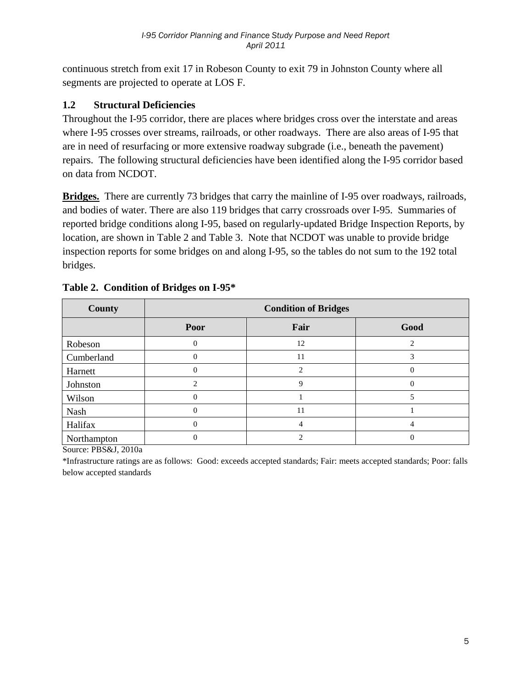continuous stretch from exit 17 in Robeson County to exit 79 in Johnston County where all segments are projected to operate at LOS F.

## <span id="page-5-0"></span>**1.2 Structural Deficiencies**

Throughout the I-95 corridor, there are places where bridges cross over the interstate and areas where I-95 crosses over streams, railroads, or other roadways. There are also areas of I-95 that are in need of resurfacing or more extensive roadway subgrade (i.e., beneath the pavement) repairs. The following structural deficiencies have been identified along the I-95 corridor based on data from NCDOT.

**Bridges.** There are currently 73 bridges that carry the mainline of I-95 over roadways, railroads, and bodies of water. There are also 119 bridges that carry crossroads over I-95. Summaries of reported bridge conditions along I-95, based on regularly-updated Bridge Inspection Reports, by location, are shown in Table 2 and Table 3. Note that NCDOT was unable to provide bridge inspection reports for some bridges on and along I-95, so the tables do not sum to the 192 total bridges.

| <b>County</b> | <b>Condition of Bridges</b> |                |          |  |  |  |
|---------------|-----------------------------|----------------|----------|--|--|--|
|               | Poor                        | Fair           | Good     |  |  |  |
| Robeson       | $\overline{0}$              | 12             | C        |  |  |  |
| Cumberland    | $\overline{0}$              | 11             | 3        |  |  |  |
| Harnett       | $\theta$                    | $\mathfrak{D}$ | $\Omega$ |  |  |  |
| Johnston      | $\mathfrak{D}$              | 9              |          |  |  |  |
| Wilson        | $\theta$                    |                |          |  |  |  |
| Nash          | $\theta$                    | 11             |          |  |  |  |
| Halifax       | $\overline{0}$              | 4              | 4        |  |  |  |
| Northampton   | $\theta$                    |                |          |  |  |  |

#### **Table 2. Condition of Bridges on I-95\***

Source: PBS&J, 2010a

\*Infrastructure ratings are as follows: Good: exceeds accepted standards; Fair: meets accepted standards; Poor: falls below accepted standards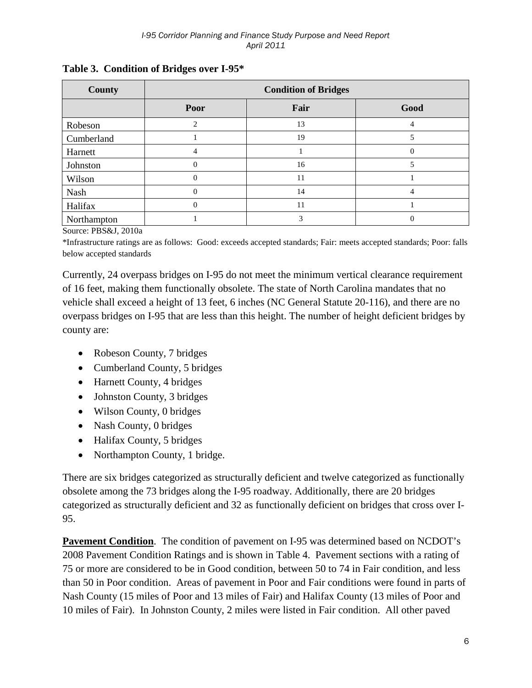| County      | <b>Condition of Bridges</b> |      |          |  |  |  |
|-------------|-----------------------------|------|----------|--|--|--|
|             | Poor                        | Fair | Good     |  |  |  |
| Robeson     | 2                           | 13   |          |  |  |  |
| Cumberland  |                             | 19   |          |  |  |  |
| Harnett     | 4                           |      | $\Omega$ |  |  |  |
| Johnston    | $\theta$                    | 16   |          |  |  |  |
| Wilson      | $\Omega$                    | 11   |          |  |  |  |
| Nash        | $\Omega$                    | 14   |          |  |  |  |
| Halifax     | $\Omega$                    | 11   |          |  |  |  |
| Northampton |                             | 3    | $\Omega$ |  |  |  |

#### **Table 3. Condition of Bridges over I-95\***

Source: PBS&J, 2010a

\*Infrastructure ratings are as follows: Good: exceeds accepted standards; Fair: meets accepted standards; Poor: falls below accepted standards

Currently, 24 overpass bridges on I-95 do not meet the minimum vertical clearance requirement of 16 feet, making them functionally obsolete. The state of North Carolina mandates that no vehicle shall exceed a height of 13 feet, 6 inches (NC General Statute 20-116), and there are no overpass bridges on I-95 that are less than this height. The number of height deficient bridges by county are:

- Robeson County, 7 bridges
- Cumberland County, 5 bridges
- Harnett County, 4 bridges
- Johnston County, 3 bridges
- Wilson County, 0 bridges
- Nash County, 0 bridges
- Halifax County, 5 bridges
- Northampton County, 1 bridge.

There are six bridges categorized as structurally deficient and twelve categorized as functionally obsolete among the 73 bridges along the I-95 roadway. Additionally, there are 20 bridges categorized as structurally deficient and 32 as functionally deficient on bridges that cross over I-95.

**Pavement Condition.** The condition of pavement on I-95 was determined based on NCDOT's 2008 Pavement Condition Ratings and is shown in Table 4. Pavement sections with a rating of 75 or more are considered to be in Good condition, between 50 to 74 in Fair condition, and less than 50 in Poor condition. Areas of pavement in Poor and Fair conditions were found in parts of Nash County (15 miles of Poor and 13 miles of Fair) and Halifax County (13 miles of Poor and 10 miles of Fair). In Johnston County, 2 miles were listed in Fair condition. All other paved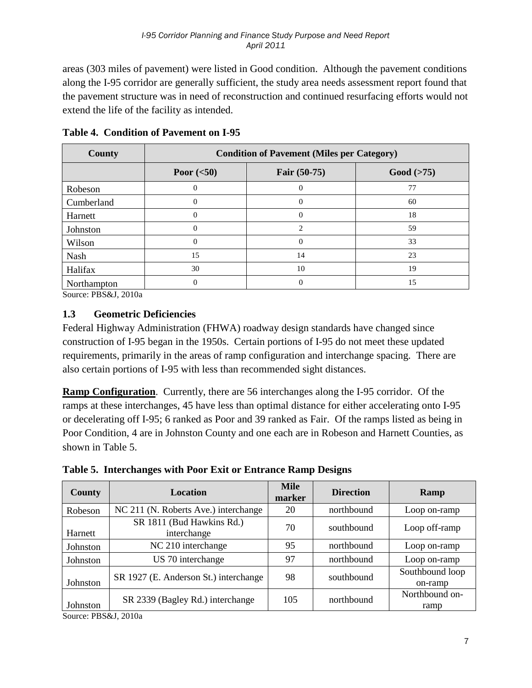areas (303 miles of pavement) were listed in Good condition. Although the pavement conditions along the I-95 corridor are generally sufficient, the study area needs assessment report found that the pavement structure was in need of reconstruction and continued resurfacing efforts would not extend the life of the facility as intended.

| County      | <b>Condition of Pavement (Miles per Category)</b> |                              |    |  |  |  |  |
|-------------|---------------------------------------------------|------------------------------|----|--|--|--|--|
|             | Poor $(<50)$                                      | Fair $(50-75)$<br>Good (>75) |    |  |  |  |  |
| Robeson     |                                                   |                              | 77 |  |  |  |  |
| Cumberland  | $\overline{0}$                                    | $\Omega$                     | 60 |  |  |  |  |
| Harnett     |                                                   | 0                            | 18 |  |  |  |  |
| Johnston    | 0                                                 | $\mathcal{D}_{\mathcal{L}}$  | 59 |  |  |  |  |
| Wilson      | $\Omega$                                          | $\Omega$                     | 33 |  |  |  |  |
| Nash        | 15                                                | 14                           | 23 |  |  |  |  |
| Halifax     | 30                                                | 10                           | 19 |  |  |  |  |
| Northampton | 0                                                 | $\theta$                     | 15 |  |  |  |  |

**Table 4. Condition of Pavement on I-95**

Source: PBS&J, 2010a

## <span id="page-7-0"></span>**1.3 Geometric Deficiencies**

Federal Highway Administration (FHWA) roadway design standards have changed since construction of I-95 began in the 1950s. Certain portions of I-95 do not meet these updated requirements, primarily in the areas of ramp configuration and interchange spacing. There are also certain portions of I-95 with less than recommended sight distances.

Ramp Configuration. Currently, there are 56 interchanges along the I-95 corridor. Of the ramps at these interchanges, 45 have less than optimal distance for either accelerating onto I-95 or decelerating off I-95; 6 ranked as Poor and 39 ranked as Fair. Of the ramps listed as being in Poor Condition, 4 are in Johnston County and one each are in Robeson and Harnett Counties, as shown in Table 5.

| County                       | Location                                 | <b>Mile</b><br>marker | <b>Direction</b> | Ramp                       |
|------------------------------|------------------------------------------|-----------------------|------------------|----------------------------|
| Robeson                      | NC 211 (N. Roberts Ave.) interchange     | 20                    | northbound       | Loop on-ramp               |
| Harnett                      | SR 1811 (Bud Hawkins Rd.)<br>interchange | 70                    | southbound       | Loop off-ramp              |
| Johnston                     | NC 210 interchange                       | 95                    | northbound       | Loop on-ramp               |
| Johnston                     | US 70 interchange                        | 97                    | northbound       | Loop on-ramp               |
| Johnston                     | SR 1927 (E. Anderson St.) interchange    | 98                    | southbound       | Southbound loop<br>on-ramp |
| Johnston<br>$0.$ DD001 0010. | SR 2339 (Bagley Rd.) interchange         | 105                   | northbound       | Northbound on-<br>ramp     |

**Table 5. Interchanges with Poor Exit or Entrance Ramp Designs**

Source: PBS&J, 2010a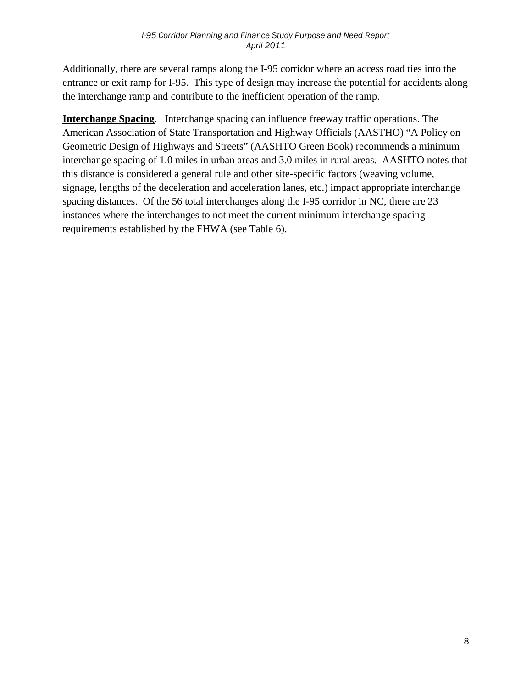Additionally, there are several ramps along the I-95 corridor where an access road ties into the entrance or exit ramp for I-95. This type of design may increase the potential for accidents along the interchange ramp and contribute to the inefficient operation of the ramp.

**Interchange Spacing**. Interchange spacing can influence freeway traffic operations. The American Association of State Transportation and Highway Officials (AASTHO) "A Policy on Geometric Design of Highways and Streets" (AASHTO Green Book) recommends a minimum interchange spacing of 1.0 miles in urban areas and 3.0 miles in rural areas. AASHTO notes that this distance is considered a general rule and other site-specific factors (weaving volume, signage, lengths of the deceleration and acceleration lanes, etc.) impact appropriate interchange spacing distances. Of the 56 total interchanges along the I-95 corridor in NC, there are 23 instances where the interchanges to not meet the current minimum interchange spacing requirements established by the FHWA (see Table 6).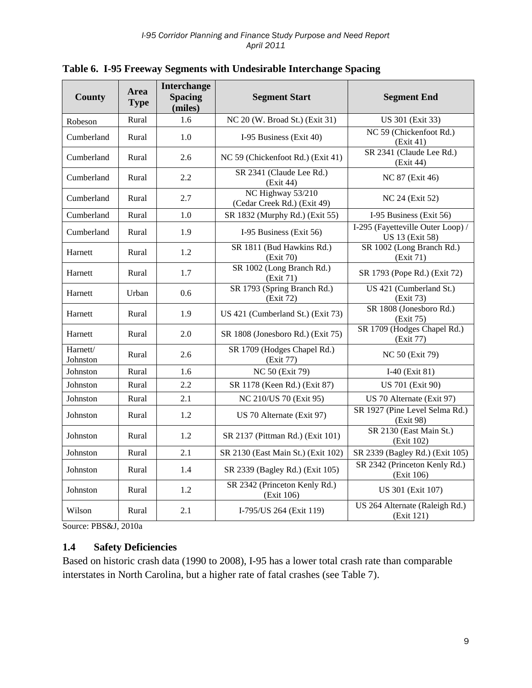| <b>County</b>        | <b>Area</b><br><b>Type</b> | <b>Interchange</b><br><b>Spacing</b><br>(miles) | <b>Segment Start</b>                             | <b>Segment End</b>                                          |
|----------------------|----------------------------|-------------------------------------------------|--------------------------------------------------|-------------------------------------------------------------|
| Robeson              | Rural                      | 1.6                                             | NC 20 (W. Broad St.) (Exit 31)                   | US 301 (Exit 33)                                            |
| Cumberland           | Rural                      | 1.0                                             | I-95 Business (Exit 40)                          | NC 59 (Chickenfoot Rd.)<br>(Exit 41)                        |
| Cumberland           | Rural                      | 2.6                                             | NC 59 (Chickenfoot Rd.) (Exit 41)                | SR 2341 (Claude Lee Rd.)<br>(Exit 44)                       |
| Cumberland           | Rural                      | 2.2                                             | SR 2341 (Claude Lee Rd.)<br>(Exit 44)            | NC 87 (Exit 46)                                             |
| Cumberland           | Rural                      | 2.7                                             | NC Highway 53/210<br>(Cedar Creek Rd.) (Exit 49) | NC 24 (Exit 52)                                             |
| Cumberland           | Rural                      | 1.0                                             | SR 1832 (Murphy Rd.) (Exit 55)                   | I-95 Business (Exit 56)                                     |
| Cumberland           | Rural                      | 1.9                                             | I-95 Business (Exit 56)                          | I-295 (Fayetteville Outer Loop) /<br><b>US 13 (Exit 58)</b> |
| Harnett              | Rural                      | 1.2                                             | SR 1811 (Bud Hawkins Rd.)<br>(Exit 70)           | SR 1002 (Long Branch Rd.)<br>(Exit 71)                      |
| Harnett              | Rural                      | 1.7                                             | SR 1002 (Long Branch Rd.)<br>(Exit 71)           | SR 1793 (Pope Rd.) (Exit 72)                                |
| Harnett              | Urban                      | 0.6                                             | SR 1793 (Spring Branch Rd.)<br>(Exit 72)         | US 421 (Cumberland St.)<br>(Exit 73)                        |
| Harnett              | Rural                      | 1.9                                             | US 421 (Cumberland St.) (Exit 73)                | SR 1808 (Jonesboro Rd.)<br>(Exit 75)                        |
| Harnett              | Rural                      | 2.0                                             | SR 1808 (Jonesboro Rd.) (Exit 75)                | SR 1709 (Hodges Chapel Rd.)<br>(Exit 77)                    |
| Harnett/<br>Johnston | Rural                      | 2.6                                             | SR 1709 (Hodges Chapel Rd.)<br>(Exit 77)         | <b>NC 50 (Exit 79)</b>                                      |
| Johnston             | Rural                      | 1.6                                             | <b>NC 50 (Exit 79)</b>                           | I-40 (Exit 81)                                              |
| Johnston             | Rural                      | 2.2                                             | SR 1178 (Keen Rd.) (Exit 87)                     | <b>US 701 (Exit 90)</b>                                     |
| Johnston             | Rural                      | 2.1                                             | NC 210/US 70 (Exit 95)                           | US 70 Alternate (Exit 97)                                   |
| Johnston             | Rural                      | 1.2                                             | US 70 Alternate (Exit 97)                        | SR 1927 (Pine Level Selma Rd.)<br>(Exit 98)                 |
| Johnston             | Rural                      | 1.2                                             | SR 2137 (Pittman Rd.) (Exit 101)                 | SR 2130 (East Main St.)<br>(Exit 102)                       |
| Johnston             | Rural                      | 2.1                                             | SR 2130 (East Main St.) (Exit 102)               | SR 2339 (Bagley Rd.) (Exit 105)                             |
| Johnston             | Rural                      | 1.4                                             | SR 2339 (Bagley Rd.) (Exit 105)                  | SR 2342 (Princeton Kenly Rd.)<br>(Exit 106)                 |
| Johnston             | Rural                      | 1.2                                             | SR 2342 (Princeton Kenly Rd.)<br>(Exit 106)      | US 301 (Exit 107)                                           |
| Wilson               | Rural                      | 2.1                                             | I-795/US 264 (Exit 119)                          | US 264 Alternate (Raleigh Rd.)<br>(Exit 121)                |

|  |  |  | Table 6. I-95 Freeway Segments with Undesirable Interchange Spacing |  |  |  |  |  |  |  |
|--|--|--|---------------------------------------------------------------------|--|--|--|--|--|--|--|
|--|--|--|---------------------------------------------------------------------|--|--|--|--|--|--|--|

Source: PBS&J, 2010a

## <span id="page-9-0"></span>**1.4 Safety Deficiencies**

Based on historic crash data (1990 to 2008), I-95 has a lower total crash rate than comparable interstates in North Carolina, but a higher rate of fatal crashes (see Table 7).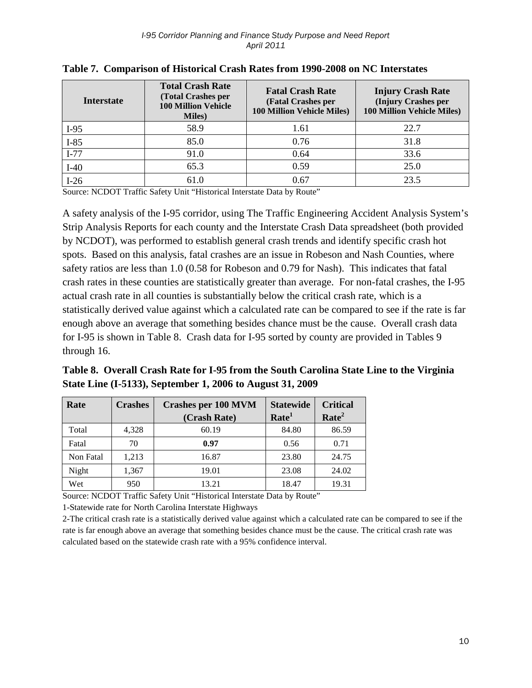| <b>Interstate</b> | <b>Total Crash Rate</b><br><b>(Total Crashes per</b><br><b>100 Million Vehicle</b><br><b>Miles</b> ) | <b>Fatal Crash Rate</b><br>(Fatal Crashes per<br><b>100 Million Vehicle Miles)</b> | <b>Injury Crash Rate</b><br>(Injury Crashes per<br><b>100 Million Vehicle Miles)</b> |
|-------------------|------------------------------------------------------------------------------------------------------|------------------------------------------------------------------------------------|--------------------------------------------------------------------------------------|
| $I-95$            | 58.9                                                                                                 | 1.61                                                                               | 22.7                                                                                 |
| $I-85$            | 85.0                                                                                                 | 0.76                                                                               | 31.8                                                                                 |
| $I-77$            | 91.0                                                                                                 | 0.64                                                                               | 33.6                                                                                 |
| $I-40$            | 65.3                                                                                                 | 0.59                                                                               | 25.0                                                                                 |
| $I-26$            | 61.0                                                                                                 | 0.67                                                                               | 23.5                                                                                 |

**Table 7. Comparison of Historical Crash Rates from 1990-2008 on NC Interstates**

Source: NCDOT Traffic Safety Unit "Historical Interstate Data by Route"

A safety analysis of the I-95 corridor, using The Traffic Engineering Accident Analysis System's Strip Analysis Reports for each county and the Interstate Crash Data spreadsheet (both provided by NCDOT), was performed to establish general crash trends and identify specific crash hot spots. Based on this analysis, fatal crashes are an issue in Robeson and Nash Counties, where safety ratios are less than 1.0 (0.58 for Robeson and 0.79 for Nash). This indicates that fatal crash rates in these counties are statistically greater than average. For non-fatal crashes, the I-95 actual crash rate in all counties is substantially below the critical crash rate, which is a statistically derived value against which a calculated rate can be compared to see if the rate is far enough above an average that something besides chance must be the cause. Overall crash data for I-95 is shown in Table 8. Crash data for I-95 sorted by county are provided in Tables 9 through 16.

**Table 8. Overall Crash Rate for I-95 from the South Carolina State Line to the Virginia State Line (I-5133), September 1, 2006 to August 31, 2009**

| Rate      | <b>Crashes</b> | <b>Crashes per 100 MVM</b> | <b>Statewide</b>  | <b>Critical</b>   |
|-----------|----------------|----------------------------|-------------------|-------------------|
|           |                | (Crash Rate)               | Rate <sup>1</sup> | Rate <sup>2</sup> |
| Total     | 4,328          | 60.19                      | 84.80             | 86.59             |
| Fatal     | 70             | 0.97                       | 0.56              | 0.71              |
| Non Fatal | 1,213          | 16.87                      | 23.80             | 24.75             |
| Night     | 1,367          | 19.01                      | 23.08             | 24.02             |
| Wet       | 950            | 13.21                      | 18.47             | 19.31             |

Source: NCDOT Traffic Safety Unit "Historical Interstate Data by Route"

1-Statewide rate for North Carolina Interstate Highways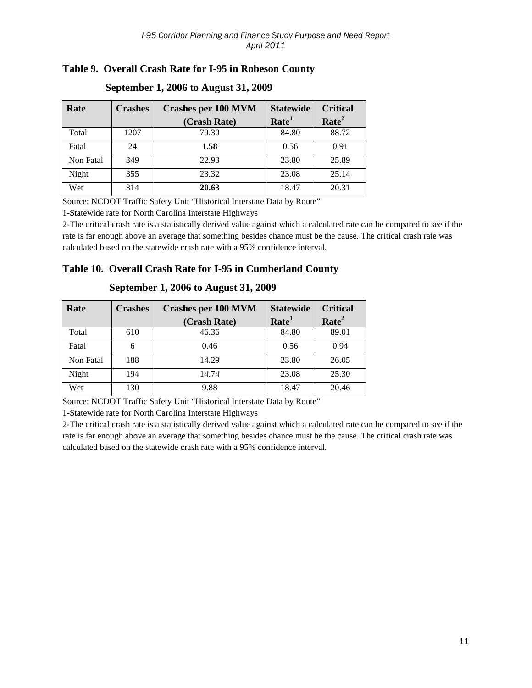## **Table 9. Overall Crash Rate for I-95 in Robeson County**

| Rate      | <b>Crashes</b> | <b>Crashes per 100 MVM</b> | <b>Statewide</b>  | <b>Critical</b>   |
|-----------|----------------|----------------------------|-------------------|-------------------|
|           |                | (Crash Rate)               | Rate <sup>1</sup> | Rate <sup>2</sup> |
| Total     | 1207           | 79.30                      | 84.80             | 88.72             |
| Fatal     | 24             | 1.58                       | 0.56              | 0.91              |
| Non Fatal | 349            | 22.93                      | 23.80             | 25.89             |
| Night     | 355            | 23.32                      | 23.08             | 25.14             |
| Wet       | 314            | 20.63                      | 18.47             | 20.31             |

#### **September 1, 2006 to August 31, 2009**

Source: NCDOT Traffic Safety Unit "Historical Interstate Data by Route"

1-Statewide rate for North Carolina Interstate Highways

2-The critical crash rate is a statistically derived value against which a calculated rate can be compared to see if the rate is far enough above an average that something besides chance must be the cause. The critical crash rate was calculated based on the statewide crash rate with a 95% confidence interval.

#### **Table 10. Overall Crash Rate for I-95 in Cumberland County**

| Rate      | <b>Crashes</b> | <b>Crashes per 100 MVM</b> | <b>Statewide</b>  | <b>Critical</b>   |
|-----------|----------------|----------------------------|-------------------|-------------------|
|           |                | (Crash Rate)               | Rate <sup>1</sup> | Rate <sup>2</sup> |
| Total     | 610            | 46.36                      | 84.80             | 89.01             |
| Fatal     | 6              | 0.46                       | 0.56              | 0.94              |
| Non Fatal | 188            | 14.29                      | 23.80             | 26.05             |
| Night     | 194            | 14.74                      | 23.08             | 25.30             |
| Wet       | 130            | 9.88                       | 18.47             | 20.46             |

#### **September 1, 2006 to August 31, 2009**

Source: NCDOT Traffic Safety Unit "Historical Interstate Data by Route"

1-Statewide rate for North Carolina Interstate Highways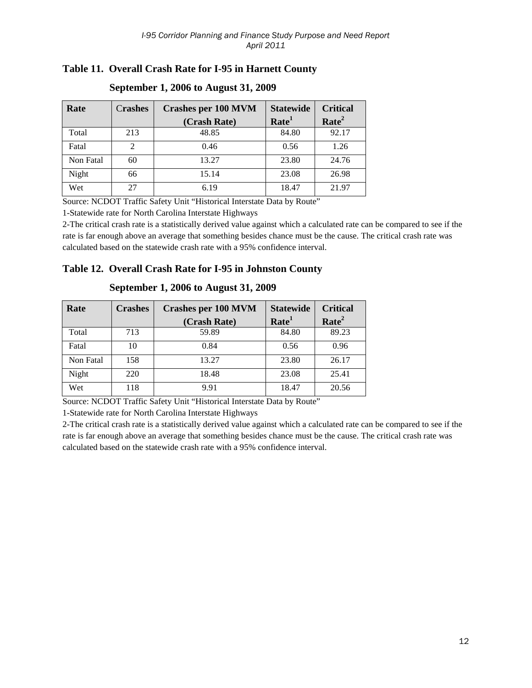## **Table 11. Overall Crash Rate for I-95 in Harnett County**

| Rate      | <b>Crashes</b> | <b>Crashes per 100 MVM</b><br>(Crash Rate) | <b>Statewide</b><br>Rate <sup>1</sup> | <b>Critical</b><br>Rate <sup>2</sup> |
|-----------|----------------|--------------------------------------------|---------------------------------------|--------------------------------------|
| Total     | 213            | 48.85                                      | 84.80                                 | 92.17                                |
| Fatal     | $\mathfrak{D}$ | 0.46                                       | 0.56                                  | 1.26                                 |
| Non Fatal | 60             | 13.27                                      | 23.80                                 | 24.76                                |
| Night     | 66             | 15.14                                      | 23.08                                 | 26.98                                |
| Wet       | 27             | 6.19                                       | 18.47                                 | 21.97                                |

#### **September 1, 2006 to August 31, 2009**

Source: NCDOT Traffic Safety Unit "Historical Interstate Data by Route"

1-Statewide rate for North Carolina Interstate Highways

2-The critical crash rate is a statistically derived value against which a calculated rate can be compared to see if the rate is far enough above an average that something besides chance must be the cause. The critical crash rate was calculated based on the statewide crash rate with a 95% confidence interval.

#### **Table 12. Overall Crash Rate for I-95 in Johnston County**

| Rate      | <b>Crashes</b> | <b>Crashes per 100 MVM</b> | <b>Statewide</b>  | <b>Critical</b>   |
|-----------|----------------|----------------------------|-------------------|-------------------|
|           |                | (Crash Rate)               | Rate <sup>1</sup> | Rate <sup>2</sup> |
| Total     | 713            | 59.89                      | 84.80             | 89.23             |
| Fatal     | 10             | 0.84                       | 0.56              | 0.96              |
| Non Fatal | 158            | 13.27                      | 23.80             | 26.17             |
| Night     | 220            | 18.48                      | 23.08             | 25.41             |
| Wet       | 118            | 9.91                       | 18.47             | 20.56             |

#### **September 1, 2006 to August 31, 2009**

Source: NCDOT Traffic Safety Unit "Historical Interstate Data by Route"

1-Statewide rate for North Carolina Interstate Highways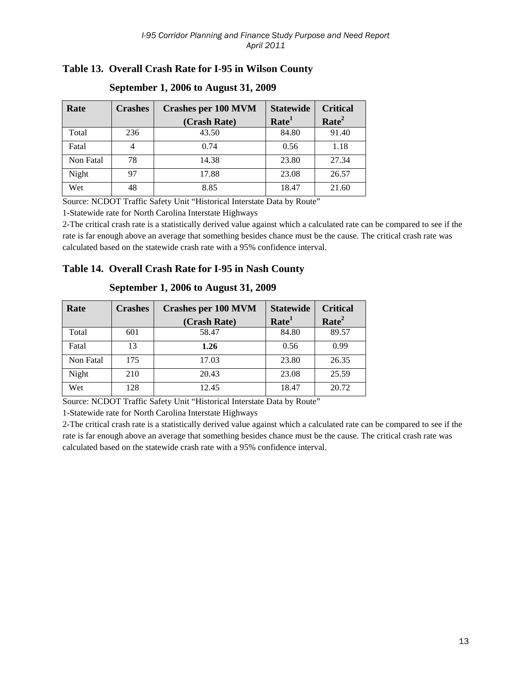## **Table 13. Overall Crash Rate for I-95 in Wilson County**

| Rate      | <b>Crashes</b> | <b>Crashes per 100 MVM</b> | <b>Statewide</b>  | <b>Critical</b>   |
|-----------|----------------|----------------------------|-------------------|-------------------|
|           |                | (Crash Rate)               | Rate <sup>1</sup> | Rate <sup>2</sup> |
| Total     | 236            | 43.50                      | 84.80             | 91.40             |
| Fatal     |                | 0.74                       | 0.56              | 1.18              |
| Non Fatal | 78             | 14.38                      | 23.80             | 27.34             |
| Night     | 97             | 17.88                      | 23.08             | 26.57             |
| Wet       | 48             | 8.85                       | 18.47             | 21.60             |

#### **September 1, 2006 to August 31, 2009**

Source: NCDOT Traffic Safety Unit "Historical Interstate Data by Route"

1-Statewide rate for North Carolina Interstate Highways

2-The critical crash rate is a statistically derived value against which a calculated rate can be compared to see if the rate is far enough above an average that something besides chance must be the cause. The critical crash rate was calculated based on the statewide crash rate with a 95% confidence interval.

#### **Table 14. Overall Crash Rate for I-95 in Nash County**

| Rate      | <b>Crashes</b> | <b>Statewide</b><br><b>Crashes per 100 MVM</b> |                   | <b>Critical</b>   |
|-----------|----------------|------------------------------------------------|-------------------|-------------------|
|           |                | (Crash Rate)                                   | Rate <sup>1</sup> | Rate <sup>2</sup> |
| Total     | 601            | 58.47                                          | 84.80             | 89.57             |
| Fatal     | 13             | 1.26                                           | 0.56              | 0.99              |
| Non Fatal | 175            | 17.03                                          | 23.80             | 26.35             |
| Night     | 210            | 20.43                                          | 23.08             | 25.59             |
| Wet       | 128            | 12.45                                          | 18.47             | 20.72             |

#### **September 1, 2006 to August 31, 2009**

Source: NCDOT Traffic Safety Unit "Historical Interstate Data by Route"

1-Statewide rate for North Carolina Interstate Highways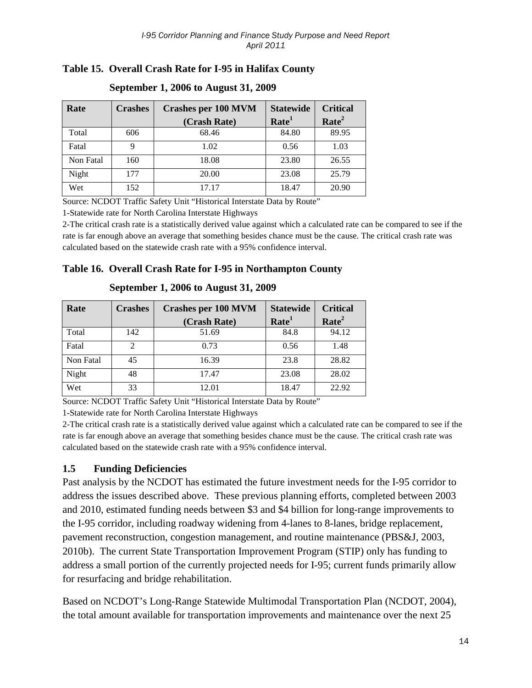## **Table 15. Overall Crash Rate for I-95 in Halifax County**

| Rate      | <b>Crashes</b> | <b>Crashes per 100 MVM</b><br>(Crash Rate) | <b>Statewide</b><br>Rate <sup>1</sup> | <b>Critical</b><br>Rate <sup>2</sup> |
|-----------|----------------|--------------------------------------------|---------------------------------------|--------------------------------------|
| Total     | 606            | 68.46                                      | 84.80                                 | 89.95                                |
| Fatal     |                | 1.02                                       | 0.56                                  | 1.03                                 |
| Non Fatal | 160            | 18.08                                      | 23.80                                 | 26.55                                |
| Night     | 177            | 20.00                                      | 23.08                                 | 25.79                                |
| Wet       | 152            | 17.17                                      | 18.47                                 | 20.90                                |

#### **September 1, 2006 to August 31, 2009**

Source: NCDOT Traffic Safety Unit "Historical Interstate Data by Route"

1-Statewide rate for North Carolina Interstate Highways

2-The critical crash rate is a statistically derived value against which a calculated rate can be compared to see if the rate is far enough above an average that something besides chance must be the cause. The critical crash rate was calculated based on the statewide crash rate with a 95% confidence interval.

#### **Table 16. Overall Crash Rate for I-95 in Northampton County**

| Rate      | <b>Crashes</b> | <b>Crashes per 100 MVM</b> | <b>Statewide</b>  | <b>Critical</b>   |
|-----------|----------------|----------------------------|-------------------|-------------------|
|           |                | (Crash Rate)               | Rate <sup>1</sup> | Rate <sup>2</sup> |
| Total     | 142            | 51.69                      | 84.8              | 94.12             |
| Fatal     |                | 0.73                       | 0.56              | 1.48              |
| Non Fatal | 45             | 16.39                      | 23.8              | 28.82             |
| Night     | 48             | 17.47                      | 23.08             | 28.02             |
| Wet       | 33             | 12.01                      | 18.47             | 22.92             |

**September 1, 2006 to August 31, 2009**

Source: NCDOT Traffic Safety Unit "Historical Interstate Data by Route"

1-Statewide rate for North Carolina Interstate Highways

2-The critical crash rate is a statistically derived value against which a calculated rate can be compared to see if the rate is far enough above an average that something besides chance must be the cause. The critical crash rate was calculated based on the statewide crash rate with a 95% confidence interval.

## <span id="page-14-0"></span>**1.5 Funding Deficiencies**

Past analysis by the NCDOT has estimated the future investment needs for the I-95 corridor to address the issues described above. These previous planning efforts, completed between 2003 and 2010, estimated funding needs between \$3 and \$4 billion for long-range improvements to the I-95 corridor, including roadway widening from 4-lanes to 8-lanes, bridge replacement, pavement reconstruction, congestion management, and routine maintenance (PBS&J, 2003, 2010b). The current State Transportation Improvement Program (STIP) only has funding to address a small portion of the currently projected needs for I-95; current funds primarily allow for resurfacing and bridge rehabilitation.

Based on NCDOT's Long-Range Statewide Multimodal Transportation Plan (NCDOT, 2004), the total amount available for transportation improvements and maintenance over the next 25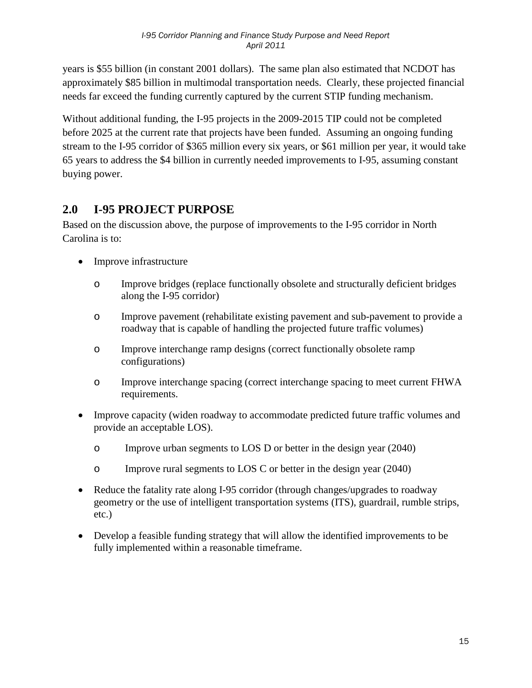years is \$55 billion (in constant 2001 dollars). The same plan also estimated that NCDOT has approximately \$85 billion in multimodal transportation needs. Clearly, these projected financial needs far exceed the funding currently captured by the current STIP funding mechanism.

Without additional funding, the I-95 projects in the 2009-2015 TIP could not be completed before 2025 at the current rate that projects have been funded. Assuming an ongoing funding stream to the I-95 corridor of \$365 million every six years, or \$61 million per year, it would take 65 years to address the \$4 billion in currently needed improvements to I-95, assuming constant buying power.

# <span id="page-15-0"></span>**2.0 I-95 PROJECT PURPOSE**

Based on the discussion above, the purpose of improvements to the I-95 corridor in North Carolina is to:

- Improve infrastructure
	- o Improve bridges (replace functionally obsolete and structurally deficient bridges along the I-95 corridor)
	- o Improve pavement (rehabilitate existing pavement and sub-pavement to provide a roadway that is capable of handling the projected future traffic volumes)
	- o Improve interchange ramp designs (correct functionally obsolete ramp configurations)
	- o Improve interchange spacing (correct interchange spacing to meet current FHWA requirements.
- Improve capacity (widen roadway to accommodate predicted future traffic volumes and provide an acceptable LOS).
	- o Improve urban segments to LOS D or better in the design year (2040)
	- o Improve rural segments to LOS C or better in the design year (2040)
- Reduce the fatality rate along I-95 corridor (through changes/upgrades to roadway geometry or the use of intelligent transportation systems (ITS), guardrail, rumble strips, etc.)
- Develop a feasible funding strategy that will allow the identified improvements to be fully implemented within a reasonable timeframe.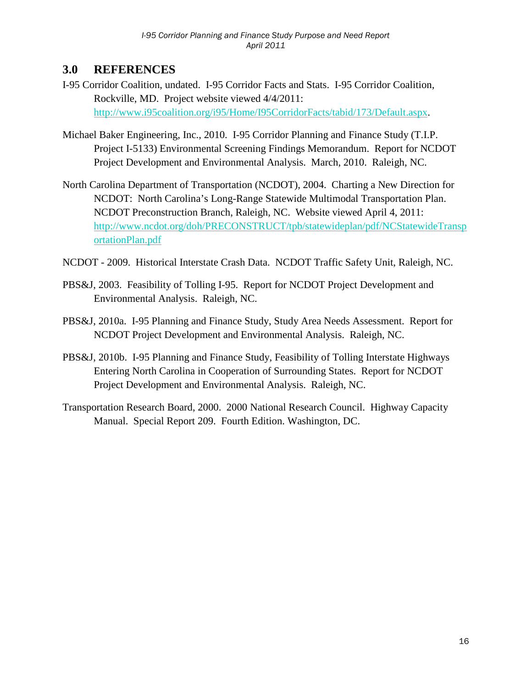## <span id="page-16-0"></span>**3.0 REFERENCES**

- I-95 Corridor Coalition, undated. I-95 Corridor Facts and Stats. I-95 Corridor Coalition, Rockville, MD. Project website viewed 4/4/2011: [http://www.i95coalition.org/i95/Home/I95CorridorFacts/tabid/173/Default.aspx.](http://www.i95coalition.org/i95/Home/I95CorridorFacts/tabid/173/Default.aspx)
- Michael Baker Engineering, Inc., 2010. I-95 Corridor Planning and Finance Study (T.I.P. Project I-5133) Environmental Screening Findings Memorandum. Report for NCDOT Project Development and Environmental Analysis. March, 2010. Raleigh, NC.
- North Carolina Department of Transportation (NCDOT), 2004. Charting a New Direction for NCDOT: North Carolina's Long-Range Statewide Multimodal Transportation Plan. NCDOT Preconstruction Branch, Raleigh, NC. Website viewed April 4, 2011: [http://www.ncdot.org/doh/PRECONSTRUCT/tpb/statewideplan/pdf/NCStatewideTransp](http://www.ncdot.org/doh/PRECONSTRUCT/tpb/statewideplan/pdf/NCStatewideTransportationPlan.pdf) [ortationPlan.pdf](http://www.ncdot.org/doh/PRECONSTRUCT/tpb/statewideplan/pdf/NCStatewideTransportationPlan.pdf)
- NCDOT 2009. Historical Interstate Crash Data. NCDOT Traffic Safety Unit, Raleigh, NC.
- PBS&J, 2003. Feasibility of Tolling I-95. Report for NCDOT Project Development and Environmental Analysis. Raleigh, NC.
- PBS&J, 2010a. I-95 Planning and Finance Study, Study Area Needs Assessment. Report for NCDOT Project Development and Environmental Analysis. Raleigh, NC.
- PBS&J, 2010b. I-95 Planning and Finance Study, Feasibility of Tolling Interstate Highways Entering North Carolina in Cooperation of Surrounding States. Report for NCDOT Project Development and Environmental Analysis. Raleigh, NC.
- Transportation Research Board, 2000. 2000 National Research Council. Highway Capacity Manual. Special Report 209. Fourth Edition. Washington, DC.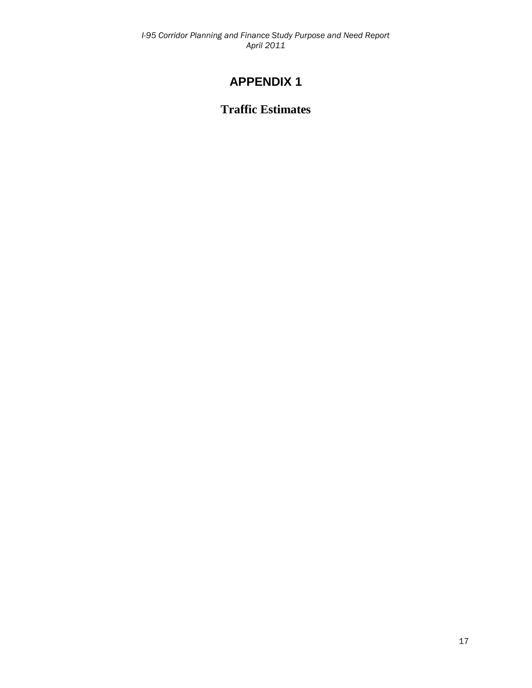# **APPENDIX 1**

## **Traffic Estimates**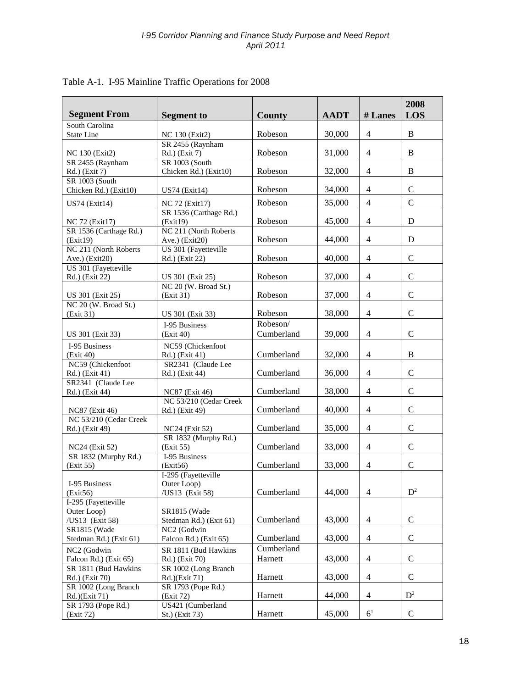| <b>Segment From</b>                    | <b>Segment to</b>                      | County     | <b>AADT</b> | # Lanes        | 2008<br>LOS   |
|----------------------------------------|----------------------------------------|------------|-------------|----------------|---------------|
| South Carolina                         |                                        |            |             |                |               |
| State Line                             | NC 130 (Exit2)                         | Robeson    | 30,000      | $\overline{4}$ | B             |
| NC 130 (Exit2)                         | SR 2455 (Raynham<br>Rd.) (Exit 7)      | Robeson    | 31,000      | $\overline{4}$ | B             |
| SR 2455 (Raynham                       | SR 1003 (South                         |            |             |                |               |
| Rd.) (Exit 7)                          | Chicken Rd.) (Exit10)                  | Robeson    | 32,000      | $\overline{4}$ | B             |
| SR 1003 (South                         |                                        |            |             |                |               |
| Chicken Rd.) (Exit10)                  | <b>US74 (Exit14)</b>                   | Robeson    | 34,000      | $\overline{4}$ | $\mathbf C$   |
| <b>US74</b> (Exit14)                   | NC 72 (Exit17)                         | Robeson    | 35,000      | $\overline{4}$ | $\mathcal{C}$ |
|                                        | SR 1536 (Carthage Rd.)                 |            |             |                |               |
| NC 72 (Exit17)                         | (Exit19)                               | Robeson    | 45,000      | $\overline{4}$ | D             |
| SR 1536 (Carthage Rd.)                 | NC 211 (North Roberts                  |            |             |                | D             |
| (Exit19)<br>NC 211 (North Roberts      | Ave.) (Exit20)<br>US 301 (Fayetteville | Robeson    | 44,000      | $\overline{4}$ |               |
| Ave.) (Exit20)                         | Rd.) (Exit 22)                         | Robeson    | 40,000      | $\overline{4}$ | $\mathbf C$   |
| US 301 (Fayetteville                   |                                        |            |             |                |               |
| Rd.) (Exit 22)                         | US 301 (Exit 25)                       | Robeson    | 37,000      | $\overline{4}$ | $\mathbf C$   |
|                                        | NC 20 (W. Broad St.)                   |            |             |                |               |
| US 301 (Exit 25)                       | (Exit 31)                              | Robeson    | 37,000      | $\overline{4}$ | $\mathsf{C}$  |
| NC 20 (W. Broad St.)                   |                                        |            |             |                |               |
| (Exit 31)                              | US 301 (Exit 33)                       | Robeson    | 38,000      | $\overline{4}$ | $\mathsf{C}$  |
|                                        | I-95 Business                          | Robeson/   |             |                |               |
| US 301 (Exit 33)                       | (Exit 40)                              | Cumberland | 39,000      | $\overline{4}$ | $\mathsf{C}$  |
| I-95 Business                          | NC59 (Chickenfoot                      |            |             |                |               |
| (Exit 40)                              | Rd.) (Exit 41)                         | Cumberland | 32,000      | $\overline{4}$ | B             |
| NC59 (Chickenfoot                      | SR2341 (Claude Lee                     |            |             |                | $\mathbf C$   |
| Rd.) (Exit 41)<br>SR2341 (Claude Lee   | Rd.) (Exit 44)                         | Cumberland | 36,000      | $\overline{4}$ |               |
| Rd.) (Exit 44)                         | <b>NC87</b> (Exit 46)                  | Cumberland | 38,000      | $\overline{4}$ | $\mathbf C$   |
|                                        | NC 53/210 (Cedar Creek                 |            |             |                |               |
| <b>NC87</b> (Exit 46)                  | Rd.) (Exit 49)                         | Cumberland | 40,000      | $\overline{4}$ | $\mathbf C$   |
| NC 53/210 (Cedar Creek                 |                                        |            |             |                |               |
| Rd.) (Exit 49)                         | <b>NC24</b> (Exit 52)                  | Cumberland | 35,000      | $\overline{4}$ | $\mathsf{C}$  |
|                                        | SR 1832 (Murphy Rd.)                   |            |             |                |               |
| NC24 (Exit 52)                         | (Exit 55)                              | Cumberland | 33,000      | $\overline{4}$ | $\mathbf C$   |
| SR 1832 (Murphy Rd.)<br>(Exit 55)      | I-95 Business<br>(Exit56)              | Cumberland | 33,000      | $\overline{4}$ | $\mathcal{C}$ |
|                                        | I-295 (Fayetteville                    |            |             |                |               |
| I-95 Business                          | Outer Loop)                            |            |             |                |               |
| (Exit56)                               | /US13 (Exit 58)                        | Cumberland | 44,000      | $\overline{4}$ | $D^2$         |
| I-295 (Fayetteville                    |                                        |            |             |                |               |
| Outer Loop)                            | SR1815 (Wade                           |            |             |                |               |
| /US13 (Exit 58)                        | Stedman Rd.) (Exit 61)                 | Cumberland | 43,000      | $\overline{4}$ | $\mathsf{C}$  |
| SR1815 (Wade                           | NC2 (Godwin                            |            |             |                |               |
| Stedman Rd.) (Exit 61)                 | Falcon Rd.) (Exit 65)                  | Cumberland | 43,000      | $\overline{4}$ | ${\bf C}$     |
| NC2 (Godwin                            | SR 1811 (Bud Hawkins                   | Cumberland |             |                |               |
| Falcon Rd.) (Exit 65)                  | Rd.) (Exit 70)                         | Harnett    | 43,000      | $\overline{4}$ | $\mathbf C$   |
| SR 1811 (Bud Hawkins<br>Rd.) (Exit 70) | SR 1002 (Long Branch<br>Rd.)(Exit 71)  | Harnett    | 43,000      | $\overline{4}$ | $\mathbf C$   |
| SR 1002 (Long Branch                   | SR 1793 (Pope Rd.)                     |            |             |                |               |
| Rd.)(Exit 71)                          | (Exit 72)                              | Harnett    | 44,000      | $\overline{4}$ | $D^2$         |
| SR 1793 (Pope Rd.)                     | US421 (Cumberland                      |            |             |                |               |
| (Exit 72)                              | St.) (Exit 73)                         | Harnett    | 45,000      | 6 <sup>1</sup> | $\mathbf C$   |

## Table A-1. I-95 Mainline Traffic Operations for 2008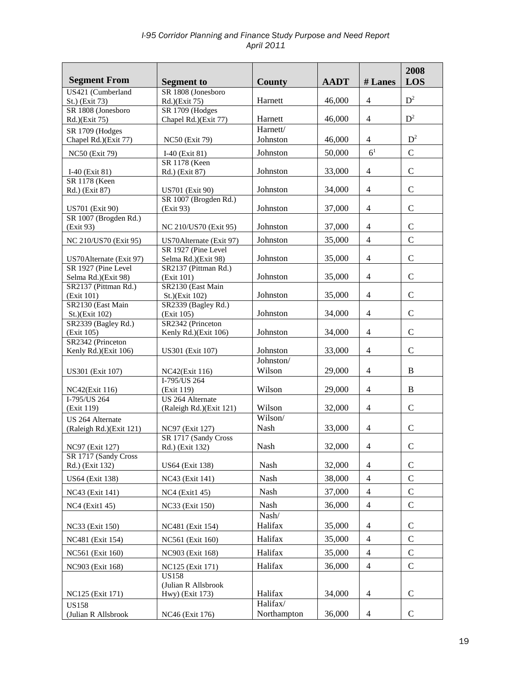| <b>Segment From</b>                            | <b>Segment</b> to                         | County                  | <b>AADT</b> | # Lanes                  | 2008<br>LOS   |
|------------------------------------------------|-------------------------------------------|-------------------------|-------------|--------------------------|---------------|
| US421 (Cumberland<br>St.) (Exit 73)            | SR 1808 (Jonesboro<br>Rd.)(Exit 75)       | Harnett                 | 46,000      | $\overline{4}$           | $D^2$         |
| SR 1808 (Jonesboro                             | SR 1709 (Hodges<br>Chapel Rd.)(Exit 77)   | Harnett                 | 46,000      | $\overline{4}$           | $D^2$         |
| Rd.)(Exit 75)<br>SR 1709 (Hodges               |                                           | Harnett/                |             |                          |               |
| Chapel Rd.)(Exit 77)                           | <b>NC50</b> (Exit 79)                     | Johnston                | 46,000      | $\overline{4}$           | $D^2$         |
| <b>NC50 (Exit 79)</b>                          | $I-40$ (Exit 81)                          | Johnston                | 50,000      | 6 <sup>1</sup>           | $\mathbf C$   |
| I-40 (Exit 81)                                 | SR 1178 (Keen<br>Rd.) (Exit 87)           | Johnston                | 33,000      | $\overline{4}$           | $\mathbf C$   |
| SR 1178 (Keen<br>Rd.) (Exit 87)                | <b>US701</b> (Exit 90)                    | Johnston                | 34,000      | $\overline{4}$           | $\mathbf C$   |
| <b>US701</b> (Exit 90)                         | SR 1007 (Brogden Rd.)<br>(Exit 93)        | Johnston                | 37,000      | $\overline{4}$           | $\mathbf C$   |
| SR 1007 (Brogden Rd.)<br>(Exit 93)             | NC 210/US70 (Exit 95)                     | Johnston                | 37,000      | $\overline{4}$           | $\mathbf C$   |
| NC 210/US70 (Exit 95)                          | US70Alternate (Exit 97)                   | Johnston                | 35,000      | $\overline{4}$           | $\mathbf C$   |
|                                                | SR 1927 (Pine Level                       |                         |             |                          |               |
| US70Alternate (Exit 97)<br>SR 1927 (Pine Level | Selma Rd.)(Exit 98)                       | Johnston                | 35,000      | $\overline{4}$           | $\mathbf C$   |
| Selma Rd.)(Exit 98)                            | SR2137 (Pittman Rd.)<br>(Exit 101)        | Johnston                | 35,000      | $\overline{4}$           | $\mathcal{C}$ |
| SR2137 (Pittman Rd.)                           | SR2130 (East Main                         |                         |             |                          |               |
| (Exit 101)<br>SR2130 (East Main                | St.)(Exit 102)<br>SR2339 (Bagley Rd.)     | Johnston                | 35,000      | $\overline{4}$           | $\mathbf C$   |
| St.)(Exit 102)                                 | (Exit 105)                                | Johnston                | 34,000      | $\overline{4}$           | $\mathbf C$   |
| SR2339 (Bagley Rd.)<br>(Exit 105)              | SR2342 (Princeton<br>Kenly Rd.)(Exit 106) | Johnston                | 34,000      | $\overline{4}$           | $\mathbf C$   |
| SR2342 (Princeton                              |                                           |                         |             |                          |               |
| Kenly Rd.)(Exit 106)                           | <b>US301</b> (Exit 107)                   | Johnston<br>Johnston/   | 33,000      | $\overline{4}$           | $\mathcal{C}$ |
| US301 (Exit 107)                               | NC42(Exit 116)                            | Wilson                  | 29,000      | $\overline{4}$           | B             |
| NC42(Exit 116)                                 | I-795/US 264<br>(Exit 119)                | Wilson                  | 29,000      | $\overline{4}$           | $\, {\bf B}$  |
| I-795/US 264                                   | US 264 Alternate                          |                         |             |                          |               |
| (Exit 119)<br>US 264 Alternate                 | (Raleigh Rd.)(Exit 121)                   | Wilson<br>Wilson/       | 32,000      | $\overline{4}$           | $\mathcal{C}$ |
| (Raleigh Rd.)(Exit 121)                        | NC97 (Exit 127)                           | <b>Nash</b>             | 33,000      | $\overline{4}$           | $\mathbf C$   |
| NC97 (Exit 127)                                | SR 1717 (Sandy Cross<br>Rd.) (Exit 132)   | Nash                    | 32,000      | $\overline{4}$           | $\mathbf C$   |
| SR 1717 (Sandy Cross                           |                                           |                         |             |                          |               |
| Rd.) (Exit 132)                                | <b>US64 (Exit 138)</b>                    | Nash                    | 32,000      | $\overline{\mathcal{A}}$ | $\mathsf{C}$  |
| <b>US64</b> (Exit 138)                         | NC43 (Exit 141)                           | Nash                    | 38,000      | $\overline{4}$           | $\mathbf C$   |
| NC43 (Exit 141)                                | NC4 (Exit1 45)                            | Nash                    | 37,000      | $\overline{4}$           | $\mathsf{C}$  |
| <b>NC4</b> (Exit1 45)                          | NC33 (Exit 150)                           | Nash                    | 36,000      | $\overline{\mathcal{A}}$ | $\mathsf{C}$  |
| NC33 (Exit 150)                                | NC481 (Exit 154)                          | Nash/<br>Halifax        | 35,000      | $\overline{4}$           | $\mathsf{C}$  |
| NC481 (Exit 154)                               | NC561 (Exit 160)                          | Halifax                 | 35,000      | $\overline{4}$           | $\mathsf{C}$  |
| NC561 (Exit 160)                               | NC903 (Exit 168)                          | Halifax                 | 35,000      | $\overline{4}$           | $\mathsf{C}$  |
| NC903 (Exit 168)                               | NC125 (Exit 171)                          | Halifax                 | 36,000      | 4                        | $\mathbf C$   |
|                                                | <b>US158</b>                              |                         |             |                          |               |
| NC125 (Exit 171)                               | (Julian R Allsbrook<br>Hwy) (Exit 173)    | Halifax                 | 34,000      | $\overline{4}$           | $\mathsf{C}$  |
| <b>US158</b><br>(Julian R Allsbrook            | NC46 (Exit 176)                           | Halifax/<br>Northampton | 36,000      | $\overline{4}$           | $\mathsf{C}$  |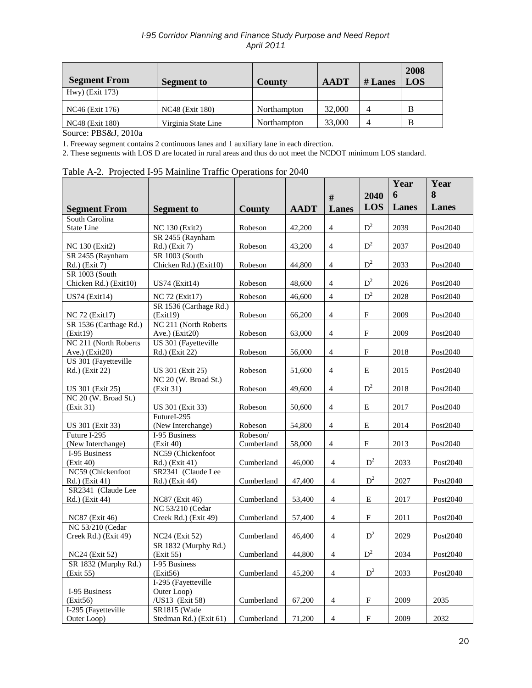| <b>Segment From</b> | <b>Segment to</b>      | County      | <b>AADT</b> | # Lanes | 2008<br><b>LOS</b> |
|---------------------|------------------------|-------------|-------------|---------|--------------------|
| Hwy) (Exit 173)     |                        |             |             |         |                    |
| NC46 (Exit 176)     | <b>NC48</b> (Exit 180) | Northampton | 32,000      | 4       |                    |
| NC48 (Exit 180)     | Virginia State Line    | Northampton | 33,000      | 4       |                    |

Source: PBS&J, 2010a

1. Freeway segment contains 2 continuous lanes and 1 auxiliary lane in each direction.

2. These segments with LOS D are located in rural areas and thus do not meet the NCDOT minimum LOS standard.

|  |  | Table A-2. Projected I-95 Mainline Traffic Operations for 2040 |  |  |
|--|--|----------------------------------------------------------------|--|--|
|--|--|----------------------------------------------------------------|--|--|

|                                           |                                               |            |             |                          |                | Year  | Year     |
|-------------------------------------------|-----------------------------------------------|------------|-------------|--------------------------|----------------|-------|----------|
|                                           |                                               |            |             | #                        | 2040           | 6     | 8        |
| <b>Segment From</b>                       | <b>Segment</b> to                             | County     | <b>AADT</b> | Lanes                    | LOS            | Lanes | Lanes    |
| South Carolina                            |                                               |            |             |                          |                |       |          |
| <b>State Line</b>                         | <b>NC</b> 130 (Exit2)                         | Robeson    | 42,200      | $\overline{4}$           | $D^2$          | 2039  | Post2040 |
|                                           | SR 2455 (Raynham                              |            |             |                          |                |       |          |
| <b>NC</b> 130 (Exit2)                     | Rd.) (Exit 7)                                 | Robeson    | 43,200      | $\overline{4}$           | $D^2$          | 2037  | Post2040 |
| SR 2455 (Raynham                          | SR 1003 (South                                |            |             |                          |                |       |          |
| Rd.) (Exit 7)                             | Chicken Rd.) (Exit10)                         | Robeson    | 44,800      | $\overline{4}$           | $D^2$          | 2033  | Post2040 |
| SR 1003 (South                            |                                               |            |             |                          |                |       |          |
| Chicken Rd.) (Exit10)                     | <b>US74 (Exit14)</b>                          | Robeson    | 48,600      | $\overline{4}$           | $D^2$          | 2026  | Post2040 |
| <b>US74 (Exit14)</b>                      | NC 72 (Exit17)                                | Robeson    | 46,600      | $\overline{4}$           | $D^2$          | 2028  | Post2040 |
|                                           | SR 1536 (Carthage Rd.)                        |            |             |                          |                |       |          |
| NC 72 (Exit17)                            | (Exit19)                                      | Robeson    | 66,200      | $\overline{4}$           | F              | 2009  | Post2040 |
| SR 1536 (Carthage Rd.)                    | NC 211 (North Roberts                         |            |             |                          |                |       |          |
| (Exit19)                                  | Ave.) (Exit20)                                | Robeson    | 63,000      | $\overline{4}$           | ${\rm F}$      | 2009  | Post2040 |
| NC 211 (North Roberts)                    | US 301 (Fayetteville                          |            |             |                          |                |       |          |
| Ave.) (Exit20)                            | Rd.) (Exit 22)                                | Robeson    | 56,000      | 4                        | F              | 2018  | Post2040 |
| US 301 (Fayetteville                      |                                               |            |             |                          |                |       |          |
| Rd.) (Exit 22)                            | US 301 (Exit 25)<br>NC 20 (W. Broad St.)      | Robeson    | 51,600      | $\overline{4}$           | Е              | 2015  | Post2040 |
| US 301 (Exit 25)                          | (Exit 31)                                     | Robeson    | 49,600      | $\overline{4}$           | $D^2$          | 2018  | Post2040 |
| NC 20 (W. Broad St.)                      |                                               |            |             |                          |                |       |          |
| (Exit 31)                                 | US 301 (Exit 33)                              | Robeson    | 50,600      | $\overline{4}$           | E              | 2017  | Post2040 |
|                                           | FutureI-295                                   |            |             |                          |                |       |          |
| US 301 (Exit 33)                          | (New Interchange)                             | Robeson    | 54,800      | 4                        | Е              | 2014  | Post2040 |
| Future I-295                              | I-95 Business                                 | Robeson/   |             |                          |                |       |          |
| (New Interchange)                         | (Exit 40)                                     | Cumberland | 58,000      | 4                        | F              | 2013  | Post2040 |
| I-95 Business                             | NC59 (Chickenfoot                             |            |             |                          |                |       |          |
| (Exit 40)                                 | Rd.) (Exit 41)                                | Cumberland | 46,000      | $\overline{4}$           | $\mathbf{D}^2$ | 2033  | Post2040 |
| NC59 (Chickenfoot                         | SR2341 (Claude Lee                            |            |             |                          |                |       |          |
| Rd.) (Exit 41)                            | Rd.) (Exit 44)                                | Cumberland | 47,400      | $\overline{4}$           | $D^2$          | 2027  | Post2040 |
| SR2341 (Claude Lee                        |                                               |            |             |                          |                |       |          |
| Rd.) (Exit 44)                            | NC87 (Exit 46)                                | Cumberland | 53,400      | $\overline{4}$           | E              | 2017  | Post2040 |
|                                           | NC 53/210 (Cedar                              |            |             |                          |                |       |          |
| <b>NC87</b> (Exit 46)<br>NC 53/210 (Cedar | Creek Rd.) (Exit 49)                          | Cumberland | 57,400      | $\overline{4}$           | $\mathbf{F}$   | 2011  | Post2040 |
| Creek Rd.) (Exit 49)                      |                                               | Cumberland | 46,400      | $\overline{4}$           | $D^2$          | 2029  |          |
|                                           | <b>NC24</b> (Exit 52)<br>SR 1832 (Murphy Rd.) |            |             |                          |                |       | Post2040 |
| NC <sub>24</sub> (Exit 52)                | (Exit 55)                                     | Cumberland | 44,800      | $\overline{\mathcal{A}}$ | $D^2$          | 2034  | Post2040 |
| SR 1832 (Murphy Rd.)                      | I-95 Business                                 |            |             |                          |                |       |          |
| (Exit 55)                                 | (Exit56)                                      | Cumberland | 45,200      | $\overline{4}$           | $D^2$          | 2033  | Post2040 |
|                                           | I-295 (Fayetteville                           |            |             |                          |                |       |          |
| I-95 Business                             | Outer Loop)                                   |            |             |                          |                |       |          |
| (Exit56)                                  | /US13 (Exit 58)                               | Cumberland | 67,200      | $\overline{4}$           | F              | 2009  | 2035     |
| I-295 (Fayetteville                       | SR1815 (Wade                                  |            |             |                          |                |       |          |
| Outer Loop)                               | Stedman Rd.) (Exit 61)                        | Cumberland | 71,200      | $\overline{4}$           | $\mathbf{F}$   | 2009  | 2032     |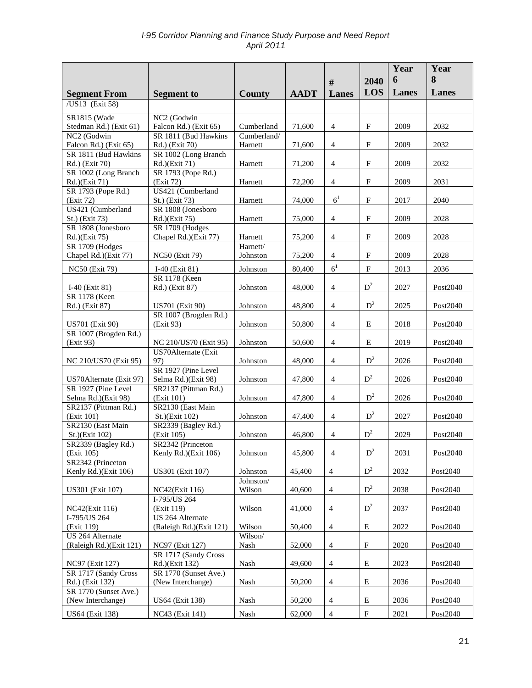|                                               |                                              |                      |             |                |                           | Year<br>6 | Year<br>8 |
|-----------------------------------------------|----------------------------------------------|----------------------|-------------|----------------|---------------------------|-----------|-----------|
|                                               |                                              |                      |             | #              | 2040<br>LOS               | Lanes     | Lanes     |
| <b>Segment From</b><br>/US13 (Exit 58)        | <b>Segment to</b>                            | County               | <b>AADT</b> | <b>Lanes</b>   |                           |           |           |
|                                               |                                              |                      |             |                |                           |           |           |
| <b>SR1815 (Wade</b><br>Stedman Rd.) (Exit 61) | NC2 (Godwin<br>Falcon Rd.) (Exit 65)         | Cumberland           | 71,600      | $\overline{4}$ | $_{\rm F}$                | 2009      | 2032      |
| NC2 (Godwin                                   | SR 1811 (Bud Hawkins                         | Cumberland/          |             |                |                           |           |           |
| Falcon Rd.) (Exit 65)                         | Rd.) (Exit 70)                               | Harnett              | 71,600      | $\overline{4}$ | $\mathbf{F}$              | 2009      | 2032      |
| SR 1811 (Bud Hawkins                          | SR 1002 (Long Branch                         |                      |             |                |                           |           |           |
| Rd.) (Exit 70)                                | Rd.)(Exit 71)                                | Harnett              | 71,200      | $\overline{4}$ | $_{\rm F}$                | 2009      | 2032      |
| SR 1002 (Long Branch                          | SR 1793 (Pope Rd.)                           |                      |             |                |                           |           |           |
| Rd.)(Exit 71)<br>SR 1793 (Pope Rd.)           | (Exit 72)<br>US421 (Cumberland               | Harnett              | 72,200      | $\overline{4}$ | $\mathbf{F}$              | 2009      | 2031      |
| (Exit 72)                                     | St.) (Exit 73)                               | Harnett              | 74,000      | 6 <sup>1</sup> | $\boldsymbol{\mathrm{F}}$ | 2017      | 2040      |
| US421 (Cumberland                             | SR 1808 (Jonesboro                           |                      |             |                |                           |           |           |
| St.) (Exit 73)                                | Rd.)(Exit 75)                                | Harnett              | 75,000      | $\overline{4}$ | $\boldsymbol{\mathrm{F}}$ | 2009      | 2028      |
| SR 1808 (Jonesboro                            | SR 1709 (Hodges                              |                      |             |                |                           |           |           |
| Rd.)(Exit 75)                                 | Chapel Rd.)(Exit 77)                         | Harnett              | 75,200      | $\overline{4}$ | ${\bf F}$                 | 2009      | 2028      |
| SR 1709 (Hodges<br>Chapel Rd.)(Exit 77)       | <b>NC50</b> (Exit 79)                        | Harnett/<br>Johnston | 75,200      | 4              | $\mathbf F$               | 2009      | 2028      |
|                                               |                                              |                      |             |                |                           |           |           |
| <b>NC50</b> (Exit 79)                         | $I-40$ (Exit 81)                             | Johnston             | 80,400      | 6 <sup>1</sup> | $\mathbf F$               | 2013      | 2036      |
| I-40 (Exit 81)                                | SR 1178 (Keen<br>Rd.) (Exit 87)              | Johnston             | 48,000      | $\overline{4}$ | $D^2$                     | 2027      | Post2040  |
| <b>SR 1178 (Keen</b>                          |                                              |                      |             |                |                           |           |           |
| Rd.) (Exit 87)                                | <b>US701</b> (Exit 90)                       | Johnston             | 48,800      | $\overline{4}$ | $D^2$                     | 2025      | Post2040  |
|                                               | SR 1007 (Brogden Rd.)                        |                      |             |                |                           |           |           |
| <b>US701 (Exit 90)</b>                        | (Exit 93)                                    | Johnston             | 50,800      | $\overline{4}$ | E                         | 2018      | Post2040  |
| SR 1007 (Brogden Rd.)                         |                                              |                      |             |                |                           |           |           |
| (Exit 93)                                     | NC 210/US70 (Exit 95)<br>US70Alternate (Exit | Johnston             | 50,600      | $\overline{4}$ | E                         | 2019      | Post2040  |
| NC 210/US70 (Exit 95)                         | 97)                                          | Johnston             | 48,000      | $\overline{4}$ | $D^2$                     | 2026      | Post2040  |
|                                               | SR 1927 (Pine Level                          |                      |             |                |                           |           |           |
| US70Alternate (Exit 97)                       | Selma Rd.)(Exit 98)                          | Johnston             | 47,800      | $\overline{4}$ | $D^2$                     | 2026      | Post2040  |
| SR 1927 (Pine Level                           | SR2137 (Pittman Rd.)                         |                      |             |                |                           |           |           |
| Selma Rd.)(Exit 98)<br>SR2137 (Pittman Rd.)   | (Exit 101)<br>SR2130 (East Main              | Johnston             | 47,800      | $\overline{4}$ | $D^2$                     | 2026      | Post2040  |
| (Exit 101)                                    | St.)(Exit 102)                               | Johnston             | 47,400      | $\overline{4}$ | $\mathbb{D}^2$            | 2027      | Post2040  |
| SR2130 (East Main                             | SR2339 (Bagley Rd.)                          |                      |             |                |                           |           |           |
| St.)(Exit 102)                                | (Exit 105)                                   | Johnston             | 46,800      | $\overline{4}$ | $D^2$                     | 2029      | Post2040  |
| SR2339 (Bagley Rd.)                           | SR2342 (Princeton                            |                      |             |                |                           |           |           |
| (Exit 105)                                    | Kenly Rd.)(Exit 106)                         | Johnston             | 45,800      | 4              | $\mathbf{D}^2$            | 2031      | Post2040  |
| SR2342 (Princeton<br>Kenly Rd.)(Exit 106)     | US301 (Exit 107)                             | Johnston             | 45,400      | $\overline{4}$ | $D^2$                     | 2032      | Post2040  |
|                                               |                                              | Johnston/            |             |                |                           |           |           |
| US301 (Exit 107)                              | NC42(Exit 116)                               | Wilson               | 40,600      | $\overline{4}$ | $D^2$                     | 2038      | Post2040  |
|                                               | I-795/US 264                                 |                      |             |                |                           |           |           |
| NC42(Exit 116)                                | (Exit 119)                                   | Wilson               | 41,000      | $\overline{4}$ | $D^2$                     | 2037      | Post2040  |
| I-795/US 264                                  | US 264 Alternate                             |                      |             |                |                           |           |           |
| (Exit 119)<br>US 264 Alternate                | (Raleigh Rd.)(Exit 121)                      | Wilson<br>Wilson/    | 50,400      | $\overline{4}$ | E                         | 2022      | Post2040  |
| (Raleigh Rd.)(Exit 121)                       | NC97 (Exit 127)                              | Nash                 | 52,000      | $\overline{4}$ | $\mathbf F$               | 2020      | Post2040  |
|                                               | SR 1717 (Sandy Cross                         |                      |             |                |                           |           |           |
| NC97 (Exit 127)                               | Rd.)(Exit 132)                               | Nash                 | 49,600      | $\overline{4}$ | E                         | 2023      | Post2040  |
| SR 1717 (Sandy Cross                          | SR 1770 (Sunset Ave.)                        |                      |             |                |                           |           |           |
| Rd.) (Exit 132)<br>SR 1770 (Sunset Ave.)      | (New Interchange)                            | Nash                 | 50,200      | $\overline{4}$ | E                         | 2036      | Post2040  |
| (New Interchange)                             | <b>US64</b> (Exit 138)                       | Nash                 | 50,200      | $\overline{4}$ | Ε                         | 2036      | Post2040  |
|                                               |                                              |                      |             |                |                           |           |           |
| US64 (Exit 138)                               | NC43 (Exit 141)                              | Nash                 | 62,000      | $\overline{4}$ | $\mathbf F$               | 2021      | Post2040  |